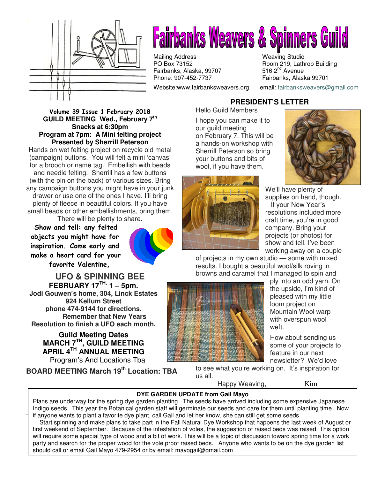

# **Fairbanks Weavers & Spinners Guild**

Mailing Address Mailing Studio<br>
PO Box 73152 May Boom 219, Lath Fairbanks, Alaska, 99707<br>Phone: 907-452-7737

Website:www.fairbanksweavers.org email: fairbanksweavers@gmail.com

Room 219, Lathrop Building<br>516  $2<sup>nd</sup>$  Avenue Fairbanks, Alaska 99701

#### Volume 39 Issue 1 February 2018 **GUILD MEETING Wed., February 7th Snacks at 6:30pm Program at 7pm: A Mini felting project Presented by Sherrill Peterson**

Hands on wet felting project on recycle old metal (campaign) buttons. You will felt a mini 'canvas' for a brooch or name tag. Embellish with beads and needle felting. Sherrill has a few buttons (with the pin on the back) of various sizes. Bring any campaign buttons you might have in your junk drawer or use one of the ones I have. I'll bring plenty of fleece in beautiful colors. If you have small beads or other embellishments, bring them. There will be plenty to share.

Show and tell: any felted objects you might have for inspiration. Come early and make a heart card for your favorite Valentine,



**UFO & SPINNING BEE FEBRUARY 17TH, 1 – 5pm. Jodi Gouwen's home, 304, Linck Estates 924 Kellum Street phone 474-9144 for directions. Remember that New Years Resolution to finish a UFO each month.**

> **Guild Meeting Dates MARCH 7TH, GUILD MEETING APRIL 4TH ANNUAL MEETING** Program's And Locations Tba

.

**BOARD MEETING March 19th Location: TBA** 

# **PRESIDENT'S LETTER**

Hello Guild Members

I hope you can make it to our guild meeting on February 7. This will be a hands-on workshop with Sherrill Peterson so bring your buttons and bits of wool, if you have them.





We'll have plenty of supplies on hand, though. If your New Year's resolutions included more craft time, you're in good company. Bring your projects (or photos) for show and tell. I've been working away on a couple

of projects in my own studio — some with mixed results. I bought a beautiful wool/silk roving in browns and caramel that I managed to spin and



ply into an odd yarn. On the upside, I'm kind of pleased with my little loom project on Mountain Wool warp with overspun wool weft.

How about sending us some of your projects to feature in our next newsletter? We'd love

to see what you're working on. It's inspiration for us all.

Happy Weaving, Kim

### **DYE GARDEN UPDATE from Gail Mayo**

Plans are underway for the spring dye garden planting. The seeds have arrived including some expensive Japanese Indigo seeds. This year the Botanical garden staff will germinate our seeds and care for them until planting time. Now if anyone wants to plant a favorite dye plant, call Gail and let her know, she can still get some seeds.

 Start spinning and make plans to take part in the Fall Natural Dye Workshop that happens the last week of August or first weekend of September. Because of the infestation of voles, the suggestion of raised beds was raised. This option will require some special type of wood and a bit of work. This will be a topic of discussion toward spring time for a work party and search for the proper wood for the vole proof raised beds. Anyone who wants to be on the dye garden list should call or email Gail Mayo 479-2954 or by email: mayogail@gmail.com